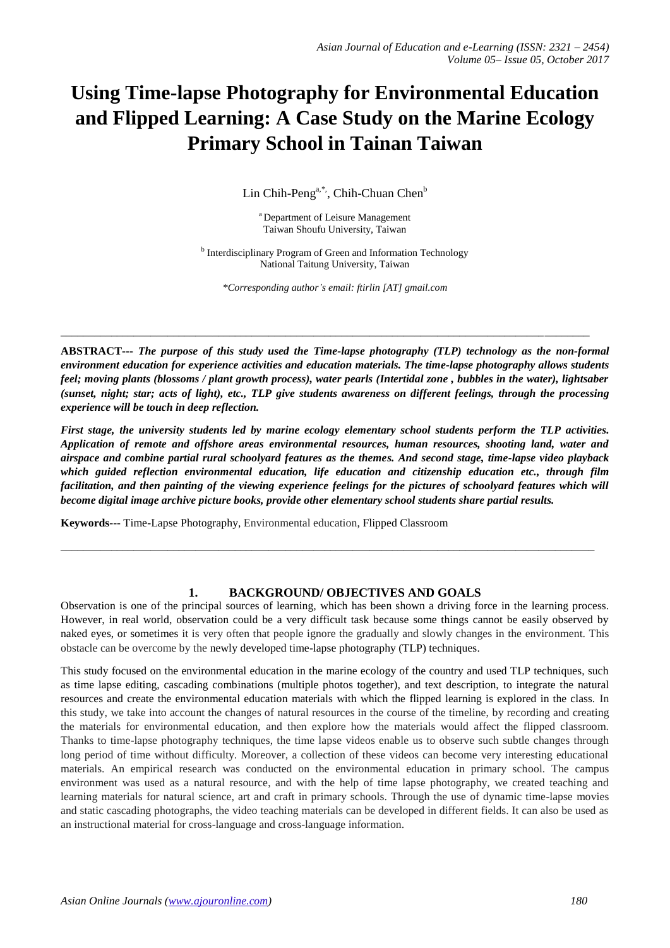# **Using Time-lapse Photography for Environmental Education and Flipped Learning: A Case Study on the Marine Ecology Primary School in Tainan Taiwan**

Lin Chih-Peng<sup>a,\*,</sup>, Chih-Chuan Chen<sup>b</sup>

<sup>a</sup> Department of Leisure Management Taiwan Shoufu University, Taiwan

<sup>b</sup> Interdisciplinary Program of Green and Information Technology National Taitung University, Taiwan

*\*Corresponding author's email: ftirlin [AT] gmail.com*

\_\_\_\_\_\_\_\_\_\_\_\_\_\_\_\_\_\_\_\_\_\_\_\_\_\_\_\_\_\_\_\_\_\_\_\_\_\_\_\_\_\_\_\_\_\_\_\_\_\_\_\_\_\_\_\_\_\_\_\_\_\_\_\_\_\_\_\_\_\_\_\_\_\_\_\_\_\_\_\_\_\_\_\_\_\_\_\_\_\_\_\_\_\_

**ABSTRACT---** *The purpose of this study used the Time-lapse photography (TLP) technology as the non-formal environment education for experience activities and education materials. The time-lapse photography allows students feel; moving plants (blossoms / plant growth process), water pearls (Intertidal zone , bubbles in the water), lightsaber (sunset, night; star; acts of light), etc., TLP give students awareness on different feelings, through the processing experience will be touch in deep reflection.*

*First stage, the university students led by marine ecology elementary school students perform the TLP activities. Application of remote and offshore areas environmental resources, human resources, shooting land, water and airspace and combine partial rural schoolyard features as the themes. And second stage, time-lapse video playback which guided reflection environmental education, life education and citizenship education etc., through film facilitation, and then painting of the viewing experience feelings for the pictures of schoolyard features which will become digital image archive picture books, provide other elementary school students share partial results.*

**Keywords**--- Time-Lapse Photography, Environmental education, Flipped Classroom

# **1. BACKGROUND/ OBJECTIVES AND GOALS**

\_\_\_\_\_\_\_\_\_\_\_\_\_\_\_\_\_\_\_\_\_\_\_\_\_\_\_\_\_\_\_\_\_\_\_\_\_\_\_\_\_\_\_\_\_\_\_\_\_\_\_\_\_\_\_\_\_\_\_\_\_\_\_\_\_\_\_\_\_\_\_\_\_\_\_\_\_\_\_\_\_\_\_\_\_\_\_\_\_\_\_\_\_\_\_

Observation is one of the principal sources of learning, which has been shown a driving force in the learning process. However, in real world, observation could be a very difficult task because some things cannot be easily observed by naked eyes, or sometimes it is very often that people ignore the gradually and slowly changes in the environment. This obstacle can be overcome by the newly developed time-lapse photography (TLP) techniques.

This study focused on the environmental education in the marine ecology of the country and used TLP techniques, such as time lapse editing, cascading combinations (multiple photos together), and text description, to integrate the natural resources and create the environmental education materials with which the flipped learning is explored in the class. In this study, we take into account the changes of natural resources in the course of the timeline, by recording and creating the materials for environmental education, and then explore how the materials would affect the flipped classroom. Thanks to time-lapse photography techniques, the time lapse videos enable us to observe such subtle changes through long period of time without difficulty. Moreover, a collection of these videos can become very interesting educational materials. An empirical research was conducted on the environmental education in primary school. The campus environment was used as a natural resource, and with the help of time lapse photography, we created teaching and learning materials for natural science, art and craft in primary schools. Through the use of dynamic time-lapse movies and static cascading photographs, the video teaching materials can be developed in different fields. It can also be used as an instructional material for cross-language and cross-language information.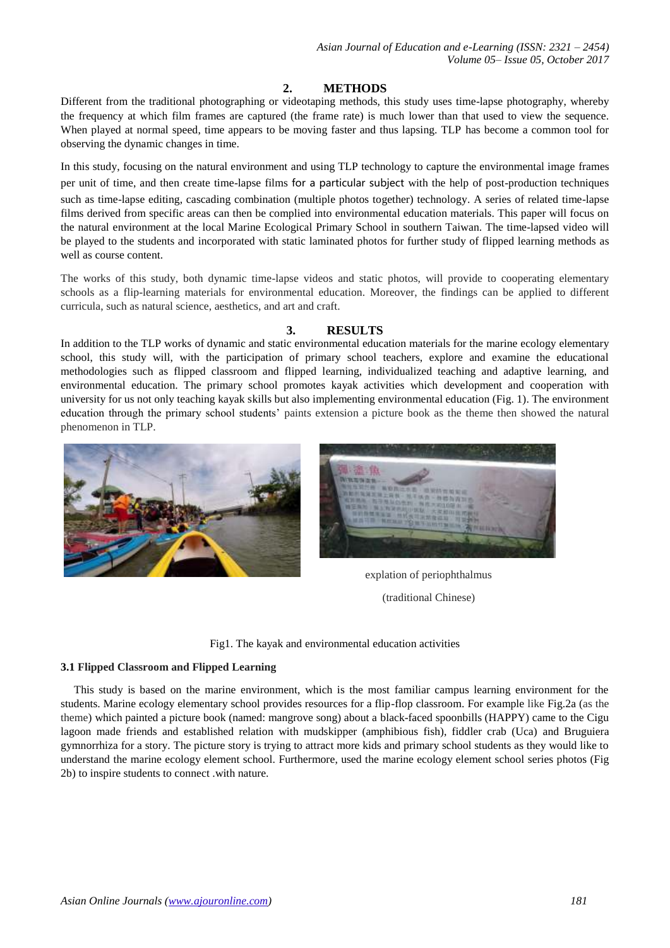# **2. METHODS**

Different from the traditional photographing or videotaping methods, this study uses time-lapse photography, whereby the frequency at which [film](https://en.wikipedia.org/wiki/Film) frames are captured (the [frame rate\)](https://en.wikipedia.org/wiki/Frame_rate) is much lower than that used to view the sequence. When played at normal speed, time appears to be moving faster and thus lapsing. TLP has become a common tool for observing the dynamic changes in time.

In this study, focusing on the natural environment and using TLP technology to capture the environmental image frames per unit of time, and then create time-lapse films for a particular subject with the help of post-production techniques

such as time-lapse editing, cascading combination (multiple photos together) technology. A series of related time-lapse films derived from specific areas can then be complied into environmental education materials. This paper will focus on the natural environment at the local Marine Ecological Primary School in southern Taiwan. The time-lapsed video will be played to the students and incorporated with static laminated photos for further study of flipped learning methods as well as course content.

The works of this study, both dynamic time-lapse videos and static photos, will provide to cooperating elementary schools as a flip-learning materials for environmental education. Moreover, the findings can be applied to different curricula, such as natural science, aesthetics, and art and craft.

# **3. RESULTS**

In addition to the TLP works of dynamic and static environmental education materials for the marine ecology elementary school, this study will, with the participation of primary school teachers, explore and examine the educational methodologies such as flipped classroom and flipped learning, individualized teaching and adaptive learning, and environmental education. The primary school promotes kayak activities which development and cooperation with university for us not only teaching kayak skills but also implementing environmental education (Fig. 1). The environment education through the primary school students' paints extension a picture book as the theme then showed the natural phenomenon in TLP.



explation of periophthalmus (traditional Chinese)

Fig1. The kayak and environmental education activities

# **3.1 Flipped Classroom and Flipped Learning**

This study is based on the marine environment, which is the most familiar campus learning environment for the students. Marine ecology elementary school provides resources for a flip-flop classroom. For example like Fig.2a (as the theme) which painted a picture book (named: mangrove song) about a black-faced spoonbills (HAPPY) came to the Cigu lagoon made friends and established relation with mudskipper (amphibious fish), fiddler crab (Uca) and Bruguiera gymnorrhiza for a story. The picture story is trying to attract more kids and primary school students as they would like to understand the marine ecology element school. Furthermore, used the marine ecology element school series photos (Fig 2b) to inspire students to connect .with nature.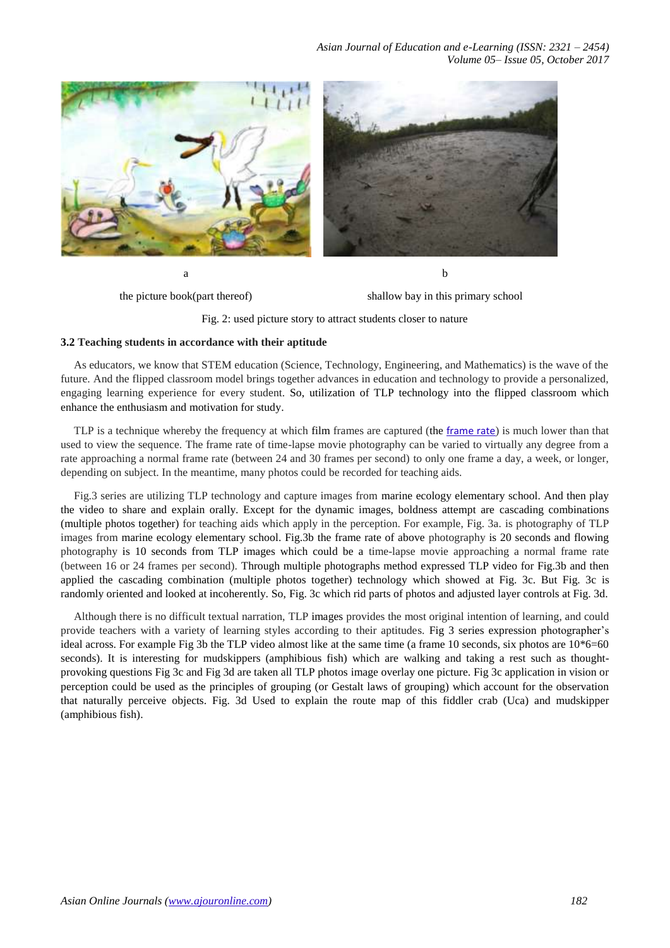*Asian Journal of Education and e-Learning (ISSN: 2321 – 2454) Volume 05– Issue 05, October 2017*



the picture book(part thereof)

shallow bay in this primary school

Fig. 2: used picture story to attract students closer to nature

## **3.2 Teaching students in accordance with their aptitude**

As educators, we know that STEM education (Science, Technology, Engineering, and Mathematics) is the wave of the future. And the flipped classroom model brings together advances in education and technology to provide a personalized, engaging learning experience for every student. So, utilization of TLP technology into the flipped classroom which enhance the enthusiasm and motivation for study.

TLP is a technique whereby the frequency at which film frames are captured (the [frame rate](https://en.wikipedia.org/wiki/Frame_rate)) is much lower than that used to view the sequence. The frame rate of time-lapse movie photography can be varied to virtually any degree from a rate approaching a normal frame rate (between 24 and 30 frames per second) to only one frame a day, a week, or longer, depending on subject. In the meantime, many photos could be recorded for teaching aids.

Fig.3 series are utilizing TLP technology and capture images from marine ecology elementary school. And then play the video to share and explain orally. Except for the dynamic images, boldness attempt are cascading combinations (multiple photos together) for teaching aids which apply in the perception. For example, Fig. 3a. is photography of TLP images from marine ecology elementary school. Fig.3b the frame rate of above photography is 20 seconds and flowing photography is 10 seconds from TLP images which could be a time-lapse movie approaching a normal frame rate (between 16 or 24 frames per second). Through multiple photographs method expressed TLP video for Fig.3b and then applied the cascading combination (multiple photos together) technology which showed at Fig. 3c. But Fig. 3c is randomly oriented and looked at incoherently. So, Fig. 3c which rid parts of photos and adjusted layer controls at Fig. 3d.

Although there is no difficult textual narration, TLP images provides the most original intention of learning, and could provide teachers with a variety of learning styles according to their aptitudes. Fig 3 series expression photographer's ideal across. For example Fig 3b the TLP video almost like at the same time (a frame 10 seconds, six photos are 10\*6=60 seconds). It is interesting for mudskippers (amphibious fish) which are walking and taking a rest such as thoughtprovoking questions Fig 3c and Fig 3d are taken all TLP photos image overlay one picture. Fig 3c application in vision or perception could be used as the principles of grouping (or Gestalt laws of grouping) which account for the observation that naturally perceive objects. Fig. 3d Used to explain the route map of this fiddler crab (Uca) and mudskipper (amphibious fish).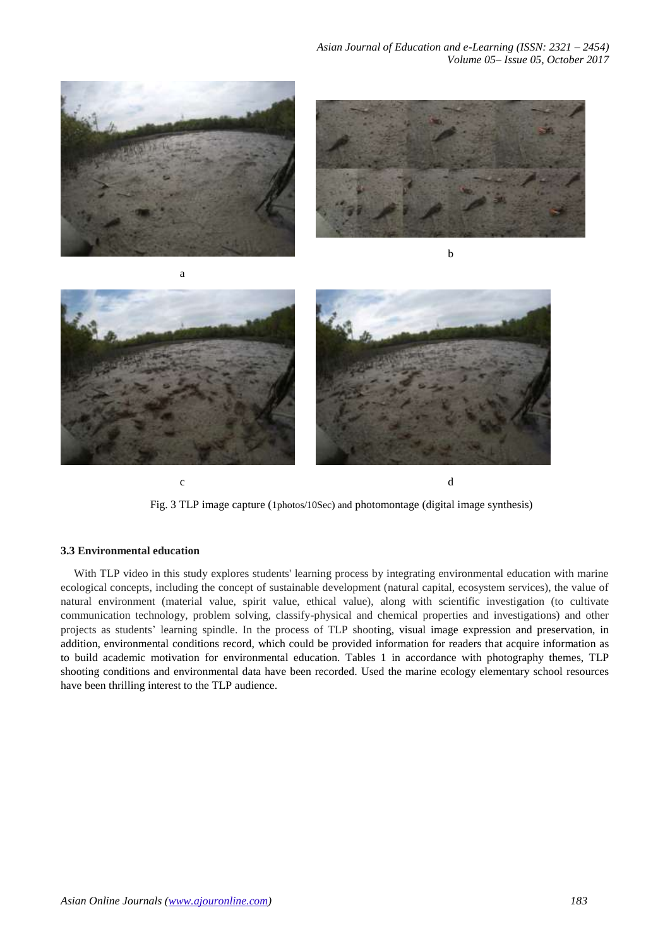



Fig. 3 TLP image capture (1photos/10Sec) and photomontage (digital image synthesis)

c d

#### **3.3 Environmental education**

With TLP video in this study explores students' learning process by integrating environmental education with marine ecological concepts, including the concept of sustainable development (natural capital, ecosystem services), the value of natural environment (material value, spirit value, ethical value), along with scientific investigation (to cultivate communication technology, problem solving, classify-physical and chemical properties and investigations) and other projects as students' learning spindle. In the process of TLP shooting, visual image expression and preservation, in addition, environmental conditions record, which could be provided information for readers that acquire information as to build academic motivation for environmental education. Tables 1 in accordance with photography themes, TLP shooting conditions and environmental data have been recorded. Used the marine ecology elementary school resources have been thrilling interest to the TLP audience.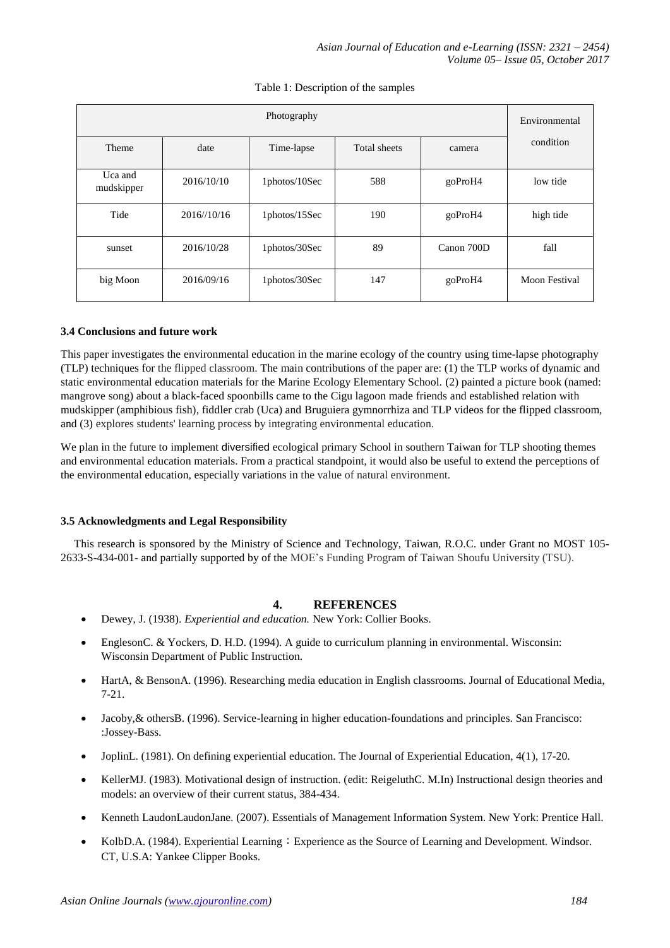| Photography           |             |               |              |            | Environmental |
|-----------------------|-------------|---------------|--------------|------------|---------------|
| Theme                 | date        | Time-lapse    | Total sheets | camera     | condition     |
| Uca and<br>mudskipper | 2016/10/10  | 1photos/10Sec | 588          | goProH4    | low tide      |
| Tide                  | 2016//10/16 | 1photos/15Sec | 190          | goProH4    | high tide     |
| sunset                | 2016/10/28  | 1photos/30Sec | 89           | Canon 700D | fall          |
| big Moon              | 2016/09/16  | 1photos/30Sec | 147          | goProH4    | Moon Festival |

## Table 1: Description of the samples

## **3.4 Conclusions and future work**

This paper investigates the environmental education in the marine ecology of the country using time-lapse photography (TLP) techniques for the flipped classroom. The main contributions of the paper are: (1) the TLP works of dynamic and static environmental education materials for the Marine Ecology Elementary School. (2) painted a picture book (named: mangrove song) about a black-faced spoonbills came to the Cigu lagoon made friends and established relation with mudskipper (amphibious fish), fiddler crab (Uca) and Bruguiera gymnorrhiza and TLP videos for the flipped classroom, and (3) explores students' learning process by integrating environmental education.

We plan in the future to implement diversified ecological primary School in southern Taiwan for TLP shooting themes and environmental education materials. From a practical standpoint, it would also be useful to extend the perceptions of the environmental education, especially variations in the value of natural environment.

# **3.5 Acknowledgments and Legal Responsibility**

This research is sponsored by the Ministry of Science and Technology, Taiwan, R.O.C. under Grant no MOST 105- 2633-S-434-001- and partially supported by of the MOE's Funding Program of Taiwan Shoufu University (TSU).

# **4. REFERENCES**

- Dewey, J. (1938). *Experiential and education.* New York: Collier Books.
- EnglesonC. & Yockers, D. H.D. (1994). A guide to curriculum planning in environmental. Wisconsin: Wisconsin Department of Public Instruction.
- HartA, & BensonA. (1996). Researching media education in English classrooms. Journal of Educational Media, 7-21.
- Jacoby,& othersB. (1996). Service-learning in higher education-foundations and principles. San Francisco: :Jossey-Bass.
- JoplinL. (1981). On defining experiential education. The Journal of Experiential Education, 4(1), 17-20.
- KellerMJ. (1983). Motivational design of instruction. (edit: ReigeluthC. M.In) Instructional design theories and models: an overview of their current status, 384-434.
- Kenneth LaudonLaudonJane. (2007). Essentials of Management Information System. New York: Prentice Hall.
- KolbD.A. (1984). Experiential Learning: Experience as the Source of Learning and Development. Windsor. CT, U.S.A: Yankee Clipper Books.